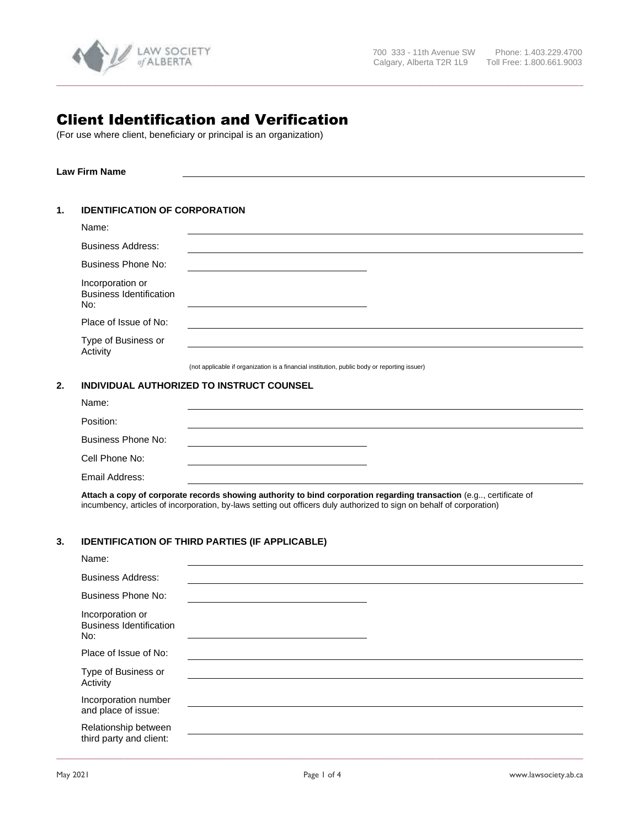

# Client Identification and Verification

(For use where client, beneficiary or principal is an organization)

**Law Firm Name**

#### **1. IDENTIFICATION OF CORPORATION**

|    | Name:                                                     |                                                                                              |
|----|-----------------------------------------------------------|----------------------------------------------------------------------------------------------|
|    | <b>Business Address:</b>                                  |                                                                                              |
|    | Business Phone No:                                        |                                                                                              |
|    | Incorporation or<br><b>Business Identification</b><br>No: |                                                                                              |
|    | Place of Issue of No:                                     |                                                                                              |
|    | Type of Business or<br>Activity                           |                                                                                              |
|    |                                                           | (not applicable if organization is a financial institution, public body or reporting issuer) |
| 2. |                                                           | INDIVIDUAL AUTHORIZED TO INSTRUCT COUNSEL                                                    |
|    | Name:                                                     |                                                                                              |
|    | Position:                                                 |                                                                                              |
|    | <b>Business Phone No:</b>                                 |                                                                                              |
|    | Cell Phone No:                                            |                                                                                              |

**\_\_\_\_\_\_\_\_\_\_\_\_\_\_\_\_\_\_\_\_\_\_\_\_\_\_\_\_\_\_\_\_\_\_\_\_\_\_\_\_\_\_\_\_\_\_\_\_\_\_\_\_\_\_\_\_\_\_\_\_\_\_\_\_\_\_\_\_\_\_\_\_\_\_\_\_\_\_\_\_\_\_\_\_\_\_\_\_\_\_\_\_\_\_\_\_\_\_\_\_\_\_\_\_\_\_\_\_\_\_\_\_\_\_\_\_\_\_\_\_\_\_\_\_\_\_**

Email Address:

**Attach a copy of corporate records showing authority to bind corporation regarding transaction** (e.g.., certificate of incumbency, articles of incorporation, by-laws setting out officers duly authorized to sign on behalf of corporation)

## **3. IDENTIFICATION OF THIRD PARTIES (IF APPLICABLE)**

| Name:                                                     |  |
|-----------------------------------------------------------|--|
| <b>Business Address:</b>                                  |  |
| <b>Business Phone No:</b>                                 |  |
| Incorporation or<br><b>Business Identification</b><br>No: |  |
| Place of Issue of No:                                     |  |
| Type of Business or<br>Activity                           |  |
| Incorporation number<br>and place of issue:               |  |
| Relationship between<br>third party and client:           |  |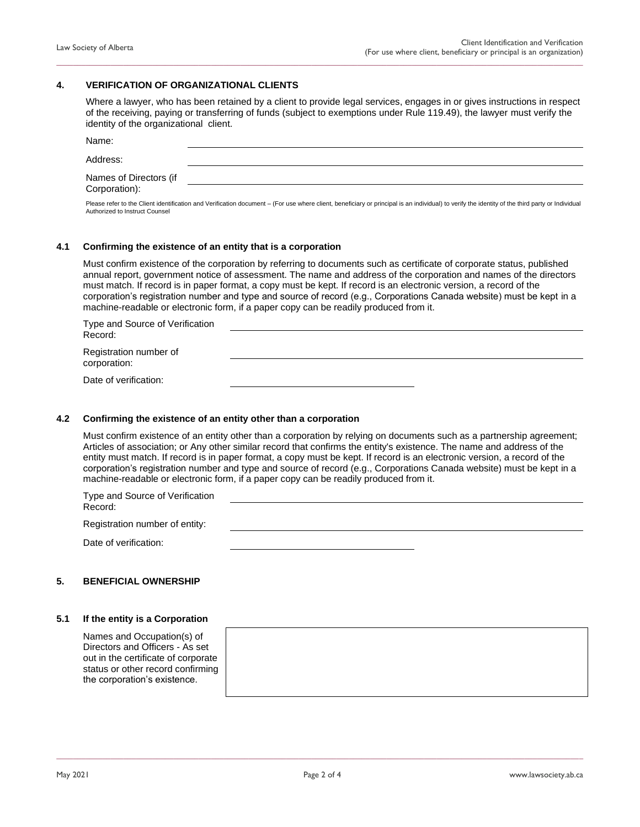### **4. VERIFICATION OF ORGANIZATIONAL CLIENTS**

Where a lawyer, who has been retained by a client to provide legal services, engages in or gives instructions in respect of the receiving, paying or transferring of funds (subject to exemptions under Rule 119.49), the lawyer must verify the identity of the organizational client.

**\_\_\_\_\_\_\_\_\_\_\_\_\_\_\_\_\_\_\_\_\_\_\_\_\_\_\_\_\_\_\_\_\_\_\_\_\_\_\_\_\_\_\_\_\_\_\_\_\_\_\_\_\_\_\_\_\_\_\_\_\_\_\_\_\_\_\_\_\_\_\_\_\_\_\_\_\_\_\_\_\_\_\_\_\_\_\_\_\_\_\_\_\_\_\_\_\_\_\_\_\_\_\_\_\_\_\_\_\_\_\_\_\_\_\_\_\_\_\_\_\_\_\_\_\_\_**

| Name:                                   |  |
|-----------------------------------------|--|
| Address:                                |  |
| Names of Directors (if<br>Corporation): |  |

Please refer to the Client identification and Verification document – (For use where client, beneficiary or principal is an individual) to verify the identity of the third party or Individual Authorized to Instruct Counsel

#### **4.1 Confirming the existence of an entity that is a corporation**

Must confirm existence of the corporation by referring to documents such as certificate of corporate status, published annual report, government notice of assessment. The name and address of the corporation and names of the directors must match. If record is in paper format, a copy must be kept. If record is an electronic version, a record of the corporation's registration number and type and source of record (e.g., Corporations Canada website) must be kept in a machine-readable or electronic form, if a paper copy can be readily produced from it.

| Type and Source of Verification<br>Record:<br>Registration number of<br>corporation: |  |
|--------------------------------------------------------------------------------------|--|
|                                                                                      |  |
| Date of verification:                                                                |  |

#### **4.2 Confirming the existence of an entity other than a corporation**

Must confirm existence of an entity other than a corporation by relying on documents such as a partnership agreement; Articles of association; or Any other similar record that confirms the entity's existence. The name and address of the entity must match. If record is in paper format, a copy must be kept. If record is an electronic version, a record of the corporation's registration number and type and source of record (e.g., Corporations Canada website) must be kept in a machine-readable or electronic form, if a paper copy can be readily produced from it.

| Type and Source of Verification<br>Record: |  |
|--------------------------------------------|--|
| Registration number of entity:             |  |
| Date of verification:                      |  |

#### **5. BENEFICIAL OWNERSHIP**

#### **5.1 If the entity is a Corporation**

Names and Occupation(s) of Directors and Officers - As set out in the certificate of corporate status or other record confirming the corporation's existence.

**\_\_\_\_\_\_\_\_\_\_\_\_\_\_\_\_\_\_\_\_\_\_\_\_\_\_\_\_\_\_\_\_\_\_\_\_\_\_\_\_\_\_\_\_\_\_\_\_\_\_\_\_\_\_\_\_\_\_\_\_\_\_\_\_\_\_\_\_\_\_\_\_\_\_\_\_\_\_\_\_\_\_\_\_\_\_\_\_\_\_\_\_\_\_\_\_\_\_\_\_\_\_\_\_\_\_\_\_\_\_\_\_\_\_\_\_\_\_\_\_\_\_\_\_\_\_**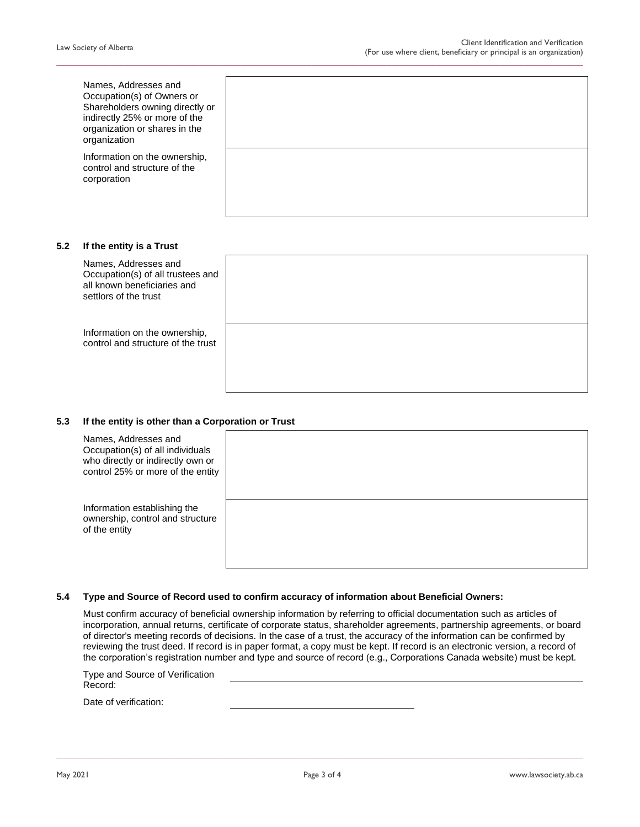|     | Names, Addresses and<br>Occupation(s) of Owners or<br>Shareholders owning directly or<br>indirectly 25% or more of the<br>organization or shares in the<br>organization |  |
|-----|-------------------------------------------------------------------------------------------------------------------------------------------------------------------------|--|
|     | Information on the ownership,<br>control and structure of the<br>corporation                                                                                            |  |
| 5.2 | If the entity is a Trust                                                                                                                                                |  |
|     | Names, Addresses and<br>Occupation(s) of all trustees and<br>all known beneficiaries and<br>settlors of the trust                                                       |  |
|     | Information on the ownership,<br>control and structure of the trust                                                                                                     |  |

**\_\_\_\_\_\_\_\_\_\_\_\_\_\_\_\_\_\_\_\_\_\_\_\_\_\_\_\_\_\_\_\_\_\_\_\_\_\_\_\_\_\_\_\_\_\_\_\_\_\_\_\_\_\_\_\_\_\_\_\_\_\_\_\_\_\_\_\_\_\_\_\_\_\_\_\_\_\_\_\_\_\_\_\_\_\_\_\_\_\_\_\_\_\_\_\_\_\_\_\_\_\_\_\_\_\_\_\_\_\_\_\_\_\_\_\_\_\_\_\_\_\_\_\_\_\_**

#### **5.3 If the entity is other than a Corporation or Trust**

| Names, Addresses and<br>Occupation(s) of all individuals<br>who directly or indirectly own or<br>control 25% or more of the entity |  |
|------------------------------------------------------------------------------------------------------------------------------------|--|
| Information establishing the<br>ownership, control and structure<br>of the entity                                                  |  |

### **5.4 Type and Source of Record used to confirm accuracy of information about Beneficial Owners:**

Must confirm accuracy of beneficial ownership information by referring to official documentation such as articles of incorporation, annual returns, certificate of corporate status, shareholder agreements, partnership agreements, or board of director's meeting records of decisions. In the case of a trust, the accuracy of the information can be confirmed by reviewing the trust deed. If record is in paper format, a copy must be kept. If record is an electronic version, a record of the corporation's registration number and type and source of record (e.g., Corporations Canada website) must be kept.

| Type and Source of Verification |  |  |
|---------------------------------|--|--|
| Record:                         |  |  |
| Date of verification:           |  |  |